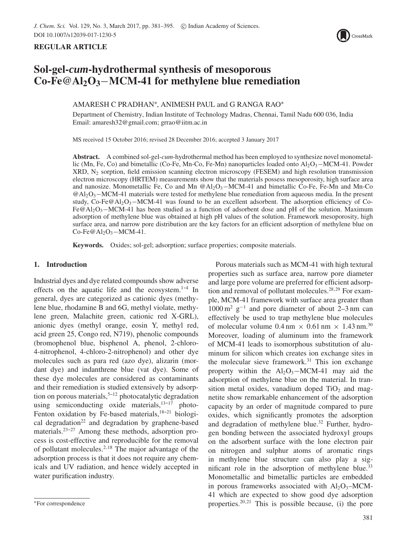# **REGULAR ARTICLE**



# **Sol-gel-***cum***-hydrothermal synthesis of mesoporous Co-Fe@Al2O3**−**MCM-41 for methylene blue remediation**

# AMARESH C PRADHAN∗, ANIMESH PAUL and G RANGA RAO∗

Department of Chemistry, Indian Institute of Technology Madras, Chennai, Tamil Nadu 600 036, India Email: amaresh32@gmail.com; grrao@iitm.ac.in

MS received 15 October 2016; revised 28 December 2016; accepted 3 January 2017

**Abstract.** A combined sol-gel-*cum*-hydrothermal method has been employed to synthesize novel monometallic (Mn, Fe, Co) and bimetallic (Co-Fe, Mn-Co, Fe-Mn) nanoparticles loaded onto Al<sub>2</sub>O<sub>3</sub>–MCM-41. Powder  $XRD$ ,  $N_2$  sorption, field emission scanning electron microscopy (FESEM) and high resolution transmission electron microscopy (HRTEM) measurements show that the materials possess mesoporosity, high surface area and nanosize. Monometallic Fe, Co and Mn  $@Al_2O_3-MCM-41$  and bimetallic Co-Fe, Fe-Mn and Mn-Co @Al2O3−MCM-41 materials were tested for methylene blue remediation from aqueous media. In the present study, Co-Fe@Al<sub>2</sub>O<sub>3</sub>−MCM-41 was found to be an excellent adsorbent. The adsorption efficiency of Co-Fe@Al2O3−MCM-41 has been studied as a function of adsorbent dose and pH of the solution. Maximum adsorption of methylene blue was obtained at high pH values of the solution. Framework mesoporosity, high surface area, and narrow pore distribution are the key factors for an efficient adsorption of methylene blue on  $Co-Fe@Al<sub>2</sub>O<sub>3</sub>–MCM-41.$ 

**Keywords.** Oxides; sol-gel; adsorption; surface properties; composite materials.

# **1. Introduction**

Industrial dyes and dye related compounds show adverse effects on the aquatic life and the ecosystem. $1-4$  In general, dyes are categorized as cationic dyes (methylene blue, rhodamine B and 6G, methyl violate, methylene green, Malachite green, cationic red X-GRL), anionic dyes (methyl orange, eosin Y, methyl red, acid green 25, Congo red, N719), phenolic compounds (bromophenol blue, bisphenol A, phenol, 2-chloro-4-nitrophenol, 4-chloro-2-nitrophenol) and other dye molecules such as para red (azo dye), alizarin (mordant dye) and indanthrene blue (vat dye). Some of these dye molecules are considered as contaminants and their remediation is studied extensively by adsorption on porous materials,  $5-12$  photocatalytic degradation using semiconducting oxide materials,  $13-17$  photo-Fenton oxidation by Fe-based materials, $18-21$  biological degradation<sup>22</sup> and degradation by graphene-based materials. $23-27$  Among these methods, adsorption process is cost-effective and reproducible for the removal of pollutant molecules. $2,18$  The major advantage of the adsorption process is that it does not require any chemicals and UV radiation, and hence widely accepted in water purification industry.

Porous materials such as MCM-41 with high textural properties such as surface area, narrow pore diameter and large pore volume are preferred for efficient adsorption and removal of pollutant molecules.<sup>28,29</sup> For example, MCM-41 framework with surface area greater than  $1000 \text{ m}^2$  g<sup>-1</sup> and pore diameter of about 2–3 nm can effectively be used to trap methylene blue molecules of molecular volume  $0.4 \text{ nm} \times 0.61 \text{ nm} \times 1.43 \text{ nm}^{30}$ Moreover, loading of aluminum into the framework of MCM-41 leads to isomorphous substitution of aluminum for silicon which creates ion exchange sites in the molecular sieve framework. $31$  This ion exchange property within the  $Al_2O_3-MCM-41$  may aid the adsorption of methylene blue on the material. In transition metal oxides, vanadium doped  $TiO<sub>2</sub>$  and magnetite show remarkable enhancement of the adsorption capacity by an order of magnitude compared to pure oxides, which significantly promotes the adsorption and degradation of methylene blue.<sup>32</sup> Further, hydrogen bonding between the associated hydroxyl groups on the adsorbent surface with the lone electron pair on nitrogen and sulphur atoms of aromatic rings in methylene blue structure can also play a significant role in the adsorption of methylene blue.<sup>33</sup> Monometallic and bimetallic particles are embedded in porous frameworks associated with  $Al_2O_3-MCM$ -41 which are expected to show good dye adsorption properties. $20,21$  This is possible because, (i) the pore

<sup>∗</sup>For correspondence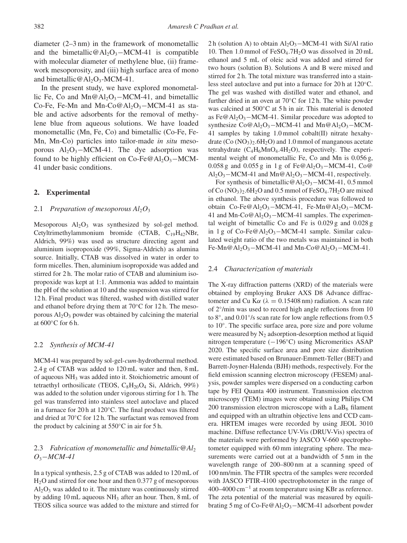diameter (2–3 nm) in the framework of monometallic and the bimetallic@Al<sub>2</sub>O<sub>3</sub>−MCM-41 is compatible with molecular diameter of methylene blue, (ii) framework mesoporosity, and (iii) high surface area of mono and bimetallic  $@$  Al<sub>2</sub>O<sub>3</sub>-MCM-41.

In the present study, we have explored monometallic Fe, Co and Mn@Al<sub>2</sub>O<sub>3</sub>–MCM-41, and bimetallic Co-Fe, Fe-Mn and Mn-Co@Al<sub>2</sub>O<sub>3</sub>–MCM-41 as stable and active adsorbents for the removal of methylene blue from aqueous solutions. We have loaded monometallic (Mn, Fe, Co) and bimetallic (Co-Fe, Fe-Mn, Mn-Co) particles into tailor-made *in situ* mesoporous  $Al_2O_3-MCM-41$ . The dye adsorption was found to be highly efficient on  $Co-Fe@Al_2O_3-MCM$ -41 under basic conditions.

# **2. Experimental**

#### 2.1 *Preparation of mesoporous*  $Al_2O_3$

Mesoporous  $Al_2O_3$  was synthesized by sol-gel method. Cetyltrimethylammonium bromide (CTAB,  $C_{19}H_{42}NBr$ , Aldrich, 99%) was used as structure directing agent and aluminium isopropoxide (99%, Sigma-Aldrich) as alumina source. Initially, CTAB was dissolved in water in order to form micelles. Then, aluminium isopropoxide was added and stirred for 2 h. The molar ratio of CTAB and aluminium isopropoxide was kept at 1:1. Ammonia was added to maintain the pH of the solution at 10 and the suspension was stirred for 12 h. Final product was filtered, washed with distilled water and ethanol before drying them at 70◦C for 12 h. The mesoporous  $Al_2O_3$  powder was obtained by calcining the material at 600◦C for 6 h.

#### 2.2 *Synthesis of MCM-41*

MCM-41 was prepared by sol-gel-*cum*-hydrothermal method. 2.4 g of CTAB was added to 120 mL water and then, 8 mL of aqueous NH3 was added into it. Stoichiometric amount of tetraethyl orthosilicate (TEOS,  $C_8H_{20}O_4$  Si, Aldrich, 99%) was added to the solution under vigorous stirring for 1 h. The gel was transferred into stainless steel autoclave and placed in a furnace for 20 h at 120◦C. The final product was filtered and dried at 70◦C for 12 h. The surfactant was removed from the product by calcining at  $550^{\circ}$ C in air for 5 h.

# 2.3 *Fabrication of monometallic and bimetallic@Al*<sup>2</sup> *O*3−*MCM-41*

In a typical synthesis, 2.5 g of CTAB was added to 120 mL of H2O and stirred for one hour and then 0.377 g of mesoporous  $Al<sub>2</sub>O<sub>3</sub>$  was added to it. The mixture was continuously stirred by adding 10 mL aqueous  $NH_3$  after an hour. Then, 8 mL of TEOS silica source was added to the mixture and stirred for 2 h (solution A) to obtain Al<sub>2</sub>O<sub>3</sub>−MCM-41 with Si/Al ratio 10. Then 1.0 mmol of  $FeSO<sub>4</sub>$ .7H<sub>2</sub>O was dissolved in 20 mL ethanol and 5 mL of oleic acid was added and stirred for two hours (solution B). Solutions A and B were mixed and stirred for 2 h. The total mixture was transferred into a stainless steel autoclave and put into a furnace for 20 h at 120◦C. The gel was washed with distilled water and ethanol, and further dried in an oven at  $70^{\circ}$ C for 12 h. The white powder was calcined at 500◦C at 5 h in air. This material is denoted as Fe@Al<sub>2</sub>O<sub>3</sub> $-MCM-41$ . Similar procedure was adopted to synthesize  $Co@Al_2O_3-MCM-41$  and  $Mn@Al_2O_3-MCM-$ 41 samples by taking 1.0 mmol cobalt(II) nitrate hexahydrate  $(Co (NO<sub>3</sub>)<sub>2</sub> . 6H<sub>2</sub>O)$  and 1.0 mmol of manganous acetate tetrahydrate  $(C_4H_6MnO_4.4H_2O)$ , respectively. The experimental weight of monometallic Fe, Co and Mn is 0.056 g, 0.058 g and 0.055 g in 1 g of  $Fe@Al_2O_3-MCM-41$ , Co $@$  $Al_2O_3-MCM-41$  and  $Mn@Al_2O_3-MCM-41$ , respectively.

For synthesis of bimetallic@Al<sub>2</sub>O<sub>3</sub>−MCM-41, 0.5 mmol of Co  $(NO_3)_2.6H_2O$  and 0.5 mmol of FeSO<sub>4</sub>.7H<sub>2</sub>O are mixed in ethanol. The above synthesis procedure was followed to obtain Co-Fe@Al2O3−MCM-41, Fe-Mn@Al2O3−MCM-41 and Mn-Co $@$ Al<sub>2</sub>O<sub>3</sub>–MCM-41 samples. The experimental weight of bimetallic Co and Fe is 0.029 g and 0.028 g in 1 g of Co-Fe@Al<sub>2</sub>O<sub>3</sub>-MCM-41 sample. Similar calculated weight ratio of the two metals was maintained in both Fe-Mn@Al<sub>2</sub>O<sub>3</sub> $-MCM-41$  and Mn-Co@Al<sub>2</sub>O<sub>3</sub> $-MCM-41$ .

#### 2.4 *Characterization of materials*

The X-ray diffraction patterns (XRD) of the materials were obtained by employing Bruker AXS D8 Advance diffractometer and Cu K $\alpha$  ( $\lambda = 0.15408$  nm) radiation. A scan rate of 2◦/min was used to record high angle reflections from 10 to 8◦, and 0.01◦/s scan rate for low angle reflections from 0.5 to 10◦. The specific surface area, pore size and pore volume were measured by  $N_2$  adsorption-desorption method at liquid nitrogen temperature (−196◦C) using Micromeritics ASAP 2020. The specific surface area and pore size distribution were estimated based on Brunauer-Emmett-Teller (BET) and Barrett-Joyner-Halenda (BJH) methods, respectively. For the field emission scanning electron microscopy (FESEM) analysis, powder samples were dispersed on a conducting carbon tape by FEI Quanta 400 instrument. Transmission electron microscopy (TEM) images were obtained using Philips CM 200 transmission electron microscope with a  $LaB<sub>6</sub>$  filament and equipped with an ultrathin objective lens and CCD camera. HRTEM images were recorded by using JEOL 3010 machine. Diffuse reflectance UV-Vis (DRUV-Vis) spectra of the materials were performed by JASCO V-660 spectrophotometer equipped with 60 mm integrating sphere. The measurements were carried out at a bandwidth of 5 nm in the wavelength range of 200–800 nm at a scanning speed of 100 nm/min. The FTIR spectra of the samples were recorded with JASCO FTIR-4100 spectrophotometer in the range of  $400-4000$  cm<sup>-1</sup> at room temperature using KBr as reference. The zeta potential of the material was measured by equilibrating 5 mg of Co-Fe@Al2O3−MCM-41 adsorbent powder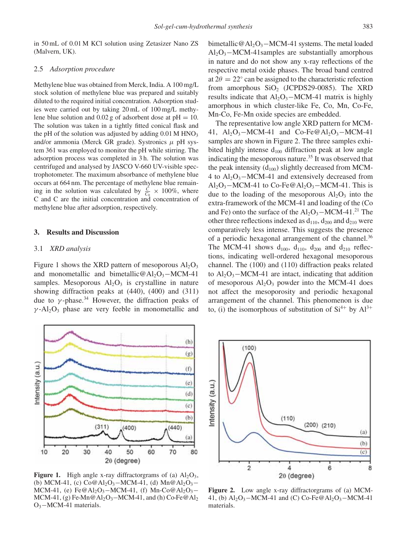in 50 mL of 0.01 M KCl solution using Zetasizer Nano ZS (Malvern, UK).

# 2.5 *Adsorption procedure*

Methylene blue was obtained from Merck, India. A 100 mg/L stock solution of methylene blue was prepared and suitably diluted to the required initial concentration. Adsorption studies were carried out by taking 20 mL of 100 mg/L methylene blue solution and  $0.02$  g of adsorbent dose at pH = 10. The solution was taken in a tightly fitted conical flask and the pH of the solution was adjusted by adding  $0.01$  M HNO<sub>3</sub> and/or ammonia (Merck GR grade). Systronics  $\mu$  pH system 361 was employed to monitor the pH while stirring. The adsorption process was completed in 3 h. The solution was centrifuged and analysed by JASCO V-660 UV-visible spectrophotometer. The maximum absorbance of methylene blue occurs at 664 nm. The percentage of methylene blue remaining in the solution was calculated by  $\frac{C}{C_0} \times 100\%$ , where C and C are the initial concentration and concentration of methylene blue after adsorption, respectively.

# **3. Results and Discussion**

#### 3.1 *XRD analysis*

Figure 1 shows the XRD pattern of mesoporous  $Al_2O_3$ and monometallic and bimetallic@Al<sub>2</sub>O<sub>3</sub>−MCM-41 samples. Mesoporous  $Al<sub>2</sub>O<sub>3</sub>$  is crystalline in nature showing diffraction peaks at (440), (400) and (311) due to  $\gamma$ -phase.<sup>34</sup> However, the diffraction peaks of  $\gamma$ -Al<sub>2</sub>O<sub>3</sub> phase are very feeble in monometallic and



**Figure 1.** High angle x-ray diffractorgrams of (a)  $Al_2O_3$ , (b) MCM-41, (c)  $Co@Al_2O_3-MCM-41$ , (d)  $Mn@Al_2O_3-$ MCM-41, (e) Fe@Al<sub>2</sub>O<sub>3</sub>–MCM-41, (f) Mn-Co@Al<sub>2</sub>O<sub>3</sub>– MCM-41, (g) Fe-Mn@Al<sub>2</sub>O<sub>3</sub>–MCM-41, and (h) Co-Fe@Al<sub>2</sub> O3−MCM-41 materials.

bimetallic@Al<sub>2</sub>O<sub>3</sub> $-MCM-41$  systems. The metal loaded  $Al_2O_3-MCM-41$ samples are substantially amorphous in nature and do not show any x-ray reflections of the respective metal oxide phases. The broad band centred at  $2\theta = 22^{\circ}$  can be assigned to the characteristic refection from amorphous  $SiO<sub>2</sub>$  (JCPDS29-0085). The XRD results indicate that  $Al_2O_3-MCM-41$  matrix is highly amorphous in which cluster-like Fe, Co, Mn, Co-Fe, Mn-Co, Fe-Mn oxide species are embedded.

The representative low angle XRD pattern for MCM-41,  $Al_2O_3-MCM-41$  and  $Co-Fe@Al_2O_3-MCM-41$ samples are shown in Figure 2. The three samples exhibited highly intense  $d_{100}$  diffraction peak at low angle indicating the mesoporous nature.<sup>35</sup> It was observed that the peak intensity  $(d_{100})$  slightly decreased from MCM-4 to  $Al_2O_3-MCM-41$  and extensively decreased from  $Al_2O_3-MCM-41$  to Co-Fe@Al<sub>2</sub>O<sub>3</sub>–MCM-41. This is due to the loading of the mesoporous  $Al_2O_3$  into the extra-framework of the MCM-41 and loading of the (Co and Fe) onto the surface of the  $Al_2O_3-MCM-41.^{21}$  The other three reflections indexed as  $d_{110}$ ,  $d_{200}$  and  $d_{210}$  were comparatively less intense. This suggests the presence of a periodic hexagonal arrangement of the channel.<sup>36</sup> The MCM-41 shows  $d_{100}$ ,  $d_{110}$ ,  $d_{200}$  and  $d_{210}$  reflections, indicating well-ordered hexagonal mesoporous channel. The (100) and (110) diffraction peaks related to  $Al_2O_3-MCM-41$  are intact, indicating that addition of mesoporous  $Al_2O_3$  powder into the MCM-41 does not affect the mesoporosity and periodic hexagonal arrangement of the channel. This phenomenon is due to, (i) the isomorphous of substitution of  $Si^{4+}$  by  $Al^{3+}$ 



**Figure 2.** Low angle x-ray diffractorgrams of (a) MCM-41, (b)  $Al_2O_3-MCM-41$  and (C) Co-Fe@Al<sub>2</sub>O<sub>3</sub>-MCM-41 materials.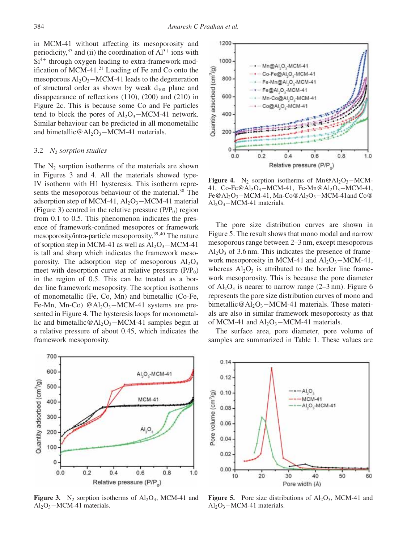in MCM-41 without affecting its mesoporosity and periodicity,  $37$  and (ii) the coordination of  $Al^{3+}$  ions with  $Si<sup>4+</sup>$  through oxygen leading to extra-framework modification of MCM-41.21 Loading of Fe and Co onto the mesoporous Al<sub>2</sub>O<sub>3</sub>−MCM-41 leads to the degeneration of structural order as shown by weak  $d_{100}$  plane and disappearance of reflections (110), (200) and (210) in Figure 2c. This is because some Co and Fe particles tend to block the pores of  $Al_2O_3-MCM-41$  network. Similar behaviour can be predicted in all monometallic and bimetallic@Al<sub>2</sub>O<sub>3</sub> $-MCM-41$  materials.

#### 3.2 *N*<sup>2</sup> *sorption studies*

The  $N_2$  sorption isotherms of the materials are shown in Figures 3 and 4. All the materials showed type-IV isotherm with H1 hysteresis. This isotherm represents the mesoporous behaviour of the material.<sup>38</sup> The adsorption step of MCM-41,  $Al_2O_3-MCM-41$  material (Figure 3) centred in the relative pressure  $(P/P_0)$  region from 0.1 to 0.5. This phenomenon indicates the presence of framework-confined mesopores or framework mesoporosity/intra-particle mesoporosity.39,40 The nature of sorption step in MCM-41 as well as  $Al_2O_3-MCM-41$ is tall and sharp which indicates the framework mesoporosity. The adsorption step of mesoporous  $Al_2O_3$ meet with desorption curve at relative pressure  $(P/P_0)$ in the region of 0.5. This can be treated as a border line framework mesoposity. The sorption isotherms of monometallic (Fe, Co, Mn) and bimetallic (Co-Fe, Fe-Mn, Mn-Co)  $@Al_2O_3-MCM-41$  systems are presented in Figure 4. The hysteresis loops for monometallic and bimetallic@Al2O3−MCM-41 samples begin at a relative pressure of about 0.45, which indicates the framework mesoporosity.



**Figure 3.** N<sub>2</sub> sorption isotherms of  $Al_2O_3$ , MCM-41 and Al2O3−MCM-41 materials.



**Figure 4.** N<sub>2</sub> sorption isotherms of Mn@Al<sub>2</sub>O<sub>3</sub>−MCM-41, Co-Fe@Al<sub>2</sub>O<sub>3</sub>-MCM-41, Fe-Mn@Al<sub>2</sub>O<sub>3</sub>-MCM-41, Fe@Al2O3−MCM-41, Mn-Co@Al2O3−MCM-41and Co@ Al2O3−MCM-41 materials.

The pore size distribution curves are shown in Figure 5. The result shows that mono modal and narrow mesoporous range between 2–3 nm, except mesoporous  $Al_2O_3$  of 3.6 nm. This indicates the presence of framework mesoporosity in MCM-41 and  $Al_2O_3-MCM-41$ , whereas  $Al_2O_3$  is attributed to the border line framework mesoporosity. This is because the pore diameter of  $Al_2O_3$  is nearer to narrow range (2–3 nm). Figure 6 represents the pore size distribution curves of mono and bimetallic@Al<sub>2</sub>O<sub>3</sub>−MCM-41 materials. These materials are also in similar framework mesoporosity as that of MCM-41 and  $Al_2O_3$ -MCM-41 materials.

The surface area, pore diameter, pore volume of samples are summarized in Table 1. These values are



**Figure 5.** Pore size distributions of  $Al_2O_3$ , MCM-41 and Al2O3−MCM-41 materials.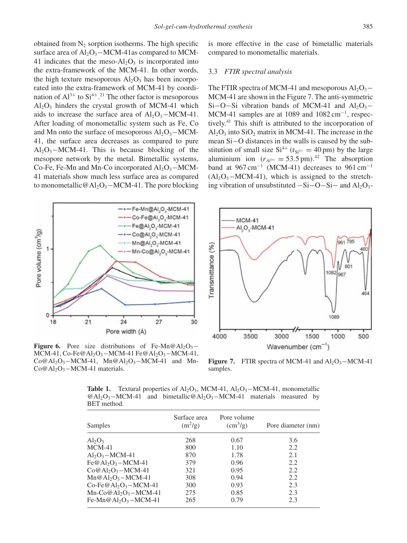obtained from  $N_2$  sorption isotherms. The high specific surface area of  $Al_2O_3-MCM-41$  as compared to MCM-41 indicates that the meso- $Al_2O_3$  is incorporated into the extra-framework of the MCM-41. In other words, the high texture mesoporous  $Al_2O_3$  has been incorporated into the extra-framework of MCM-41 by coordination of  $Al^{3+}$  to  $Si^{4+}$ .<sup>21</sup> The other factor is mesoporous  $Al_2O_3$  hinders the crystal growth of MCM-41 which aids to increase the surface area of  $Al_2O_3-MCM-41$ . After loading of monometallic system such as Fe, Co and Mn onto the surface of mesoporous  $Al_2O_3-MCM$ -41, the surface area decreases as compared to pure  $Al_2O_3-MCM-41$ . This is because blocking of the mesopore network by the metal. Bimetallic systems, Co-Fe, Fe-Mn and Mn-Co incorporated  $Al_2O_3-MCM$ -41 materials show much less surface area as compared to monometallic  $@$ Al<sub>2</sub>O<sub>3</sub> – MCM-41. The pore blocking



**Figure 6.** Pore size distributions of Fe-Mn $@$ Al<sub>2</sub>O<sub>3</sub>− MCM-41, Co-Fe@Al<sub>2</sub>O<sub>3</sub> – MCM-41 Fe@Al<sub>2</sub>O<sub>3</sub> – MCM-41,  $Co@Al_2O_3-MCM-41$ ,  $Mn@Al_2O_3-MCM-41$  and Mn-Co@Al<sub>2</sub>O<sub>3</sub>−MCM-41 materials.

is more effective in the case of bimetallic materials compared to monometallic materials.

## 3.3 *FTIR spectral analysis*

The FTIR spectra of MCM-41 and mesoporous  $Al_2O_3$ – MCM-41 are shown in the Figure 7. The anti-symmetric Si–O–Si vibration bands of MCM-41 and Al<sub>2</sub>O<sub>3</sub>− MCM-41 samples are at 1089 and  $1082 \text{ cm}^{-1}$ , respectively.41 This shift is attributed to the incorporation of  $Al_2O_3$  into  $SiO_2$  matrix in MCM-41. The increase in the mean Si−O distances in the walls is caused by the substitution of small size  $Si^{4+}$  ( $r_{Si^{4+}} = 40$  pm) by the large aluminium ion  $(r<sub>A13+</sub> = 53.5 \text{ pm})$ .<sup>42</sup> The absorption band at  $967 \text{ cm}^{-1}$  (MCM-41) decreases to  $961 \text{ cm}^{-1}$  $(Al<sub>2</sub>O<sub>3</sub>–MCM-41)$ , which is assigned to the stretching vibration of unsubstituted  $-Si-O-Si-$  and  $Al_2O_3-$ 



**Figure 7.** FTIR spectra of MCM-41 and  $Al_2O_3-MCM-41$ samples.

**Table 1.** Textural properties of  $A_1O_3$ , MCM-41,  $A_1O_3$ –MCM-41, monometallic @Al2O3−MCM-41 and bimetallic@Al2O3−MCM-41 materials measured by BET method.

| Samples                                      | Surface area<br>$(m^2/g)$ | Pore volume<br>$\rm (cm^3/g)$ | Pore diameter (nm) |
|----------------------------------------------|---------------------------|-------------------------------|--------------------|
| $Al_2O_3$                                    | 268                       | 0.67                          | 3.6                |
| $MCM-41$                                     | 800                       | 1.10                          | 2.2                |
| $Al_2O_3-MCM-41$                             | 870                       | 1.78                          | 2.1                |
| $Fe@Al_2O_3-MCM-41$                          | 379                       | 0.96                          | 2.2                |
| $Co@Al_2O_3-MCM-41$                          | 321                       | 0.95                          | 2.2                |
| $Mn@Al_2O_3-MCM-41$                          | 308                       | 0.94                          | 2.2                |
| Co-Fe@Al <sub>2</sub> O <sub>3</sub> -MCM-41 | 300                       | 0.93                          | 2.3                |
| $Mn-Co@Al2O3 - MCM-41$                       | 275                       | 0.85                          | 2.3                |
| Fe-Mn@Al <sub>2</sub> O <sub>3</sub> -MCM-41 | 265                       | 0.79                          | 2.3                |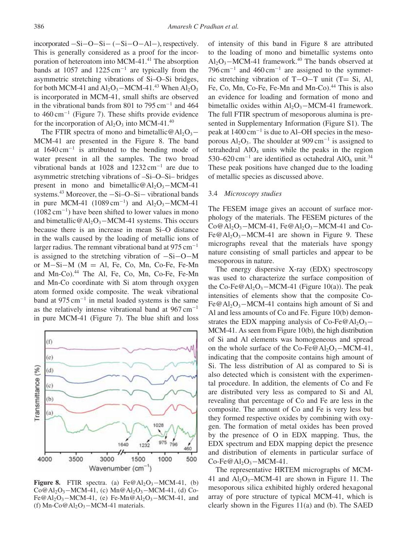incorporated −Si−O−Si− (−Si−O−Al−), respectively. This is generally considered as a proof for the incorporation of heteroatom into MCM-41. $41$ <sup>41</sup> The absorption bands at 1057 and 1225 cm<sup>-1</sup> are typically from the asymmetric stretching vibrations of Si–O–Si bridges, for both MCM-41 and  $Al_2O_3$ –MCM-41.<sup>43</sup> When  $Al_2O_3$ is incorporated in MCM-41, small shifts are observed in the vibrational bands from 801 to 795 cm−<sup>1</sup> and 464 to 460 cm−<sup>1</sup> (Figure 7). These shifts provide evidence for the incorporation of  $Al_2O_3$  into MCM-41.<sup>40</sup>

The FTIR spectra of mono and bimetallic@Al<sub>2</sub>O<sub>3</sub>− MCM-41 are presented in the Figure 8. The band at 1640 cm−<sup>1</sup> is attributed to the bending mode of water present in all the samples. The two broad vibrational bands at 1028 and 1232 cm−<sup>1</sup> are due to asymmetric stretching vibrations of –Si–O–Si– bridges present in mono and bimetallic@Al<sub>2</sub>O<sub>3</sub>–MCM-41 systems.<sup>43</sup> Moreover, the −Si–O–Si– vibrational bands in pure MCM-41  $(1089 \text{ cm}^{-1})$  and Al<sub>2</sub>O<sub>3</sub>–MCM-41 (1082 cm−1) have been shifted to lower values in mono and bimetallic@Al<sub>2</sub>O<sub>3</sub> $-MCM-41$  systems. This occurs because there is an increase in mean Si–O distance in the walls caused by the loading of metallic ions of larger radius. The remnant vibrational band at  $975 \text{ cm}^{-1}$ is assigned to the stretching vibration of −Si−O−M or M−Si−M (M = Al, Fe, Co, Mn, Co-Fe, Fe-Mn and Mn-Co).<sup>44</sup> The Al, Fe, Co, Mn, Co-Fe, Fe-Mn and Mn-Co coordinate with Si atom through oxygen atom formed oxide composite. The weak vibrational band at  $975 \text{ cm}^{-1}$  in metal loaded systems is the same as the relatively intense vibrational band at  $967 \text{ cm}^{-1}$ in pure MCM-41 (Figure 7). The blue shift and loss



**Figure 8.** FTIR spectra. (a)  $Fe@Al_2O_3-MCM-41$ , (b)  $Co@Al_2O_3-MCM-41$ , (c)  $Mn@Al_2O_3-MCM-41$ , (d) Co-Fe@Al<sub>2</sub>O<sub>3</sub>–MCM-41, (e) Fe-Mn@Al<sub>2</sub>O<sub>3</sub>–MCM-41, and (f) Mn-Co@Al<sub>2</sub>O<sub>3</sub> $-MCM-41$  materials.

of intensity of this band in Figure 8 are attributed to the loading of mono and bimetallic systems onto  $Al_2O_3-MCM-41$  framework.<sup>40</sup> The bands observed at  $796 \text{ cm}^{-1}$  and  $460 \text{ cm}^{-1}$  are assigned to the symmetric stretching vibration of T−O−T unit (T= Si, Al, Fe, Co, Mn, Co-Fe, Fe-Mn and Mn-Co).<sup>44</sup> This is also an evidence for loading and formation of mono and bimetallic oxides within  $Al_2O_3-MCM-41$  framework. The full FTIR spectrum of mesoporous alumina is presented in Supplementary Information (Figure S1). The peak at 1400 cm−<sup>1</sup> is due to Al–OH species in the mesoporous Al<sub>2</sub>O<sub>3</sub>. The shoulder at 909 cm<sup>-1</sup> is assigned to tetrahedral  $AIO<sub>4</sub>$  units while the peaks in the region 530–620 cm<sup>-1</sup> are identified as octahedral AlO<sub>6</sub> unit.<sup>34</sup> These peak positions have changed due to the loading of metallic species as discussed above.

## 3.4 *Microscopy studies*

The FESEM image gives an account of surface morphology of the materials. The FESEM pictures of the  $Co@Al_2O_3-MCM-41$ , Fe@Al<sub>2</sub>O<sub>3</sub>–MCM-41 and Co-Fe@Al<sub>2</sub>O<sub>3</sub> $-MCM-41$  are shown in Figure 9. These micrographs reveal that the materials have spongy nature consisting of small particles and appear to be mesoporous in nature.

The energy dispersive X-ray (EDX) spectroscopy was used to characterize the surface composition of the Co-Fe@Al<sub>2</sub>O<sub>3</sub>−MCM-41 (Figure 10(a)). The peak intensities of elements show that the composite Co-Fe@Al<sub>2</sub>O<sub>3</sub>−MCM-41 contains high amount of Si and Al and less amounts of Co and Fe. Figure 10(b) demonstrates the EDX mapping analysis of Co-Fe@Al<sub>2</sub>O<sub>3</sub>− MCM-41. As seen from Figure 10(b), the high distribution of Si and Al elements was homogeneous and spread on the whole surface of the Co-Fe@Al<sub>2</sub>O<sub>3</sub> $-MCM-41$ , indicating that the composite contains high amount of Si. The less distribution of Al as compared to Si is also detected which is consistent with the experimental procedure. In addition, the elements of Co and Fe are distributed very less as compared to Si and Al, revealing that percentage of Co and Fe are less in the composite. The amount of Co and Fe is very less but they formed respective oxides by combining with oxygen. The formation of metal oxides has been proved by the presence of O in EDX mapping. Thus, the EDX spectrum and EDX mapping depict the presence and distribution of elements in particular surface of  $Co-Fe@Al<sub>2</sub>O<sub>3</sub> - MCM-41.$ 

The representative HRTEM micrographs of MCM-41 and  $Al_2O_3-MCM-41$  are shown in Figure 11. The mesoporous silica exhibited highly ordered hexagonal array of pore structure of typical MCM-41, which is clearly shown in the Figures 11(a) and (b). The SAED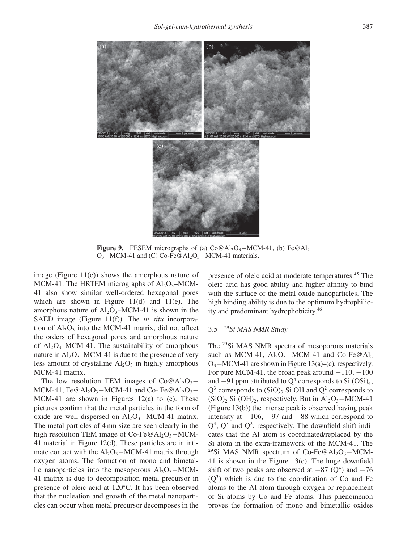

**Figure 9.** FESEM micrographs of (a) Co@Al<sub>2</sub>O<sub>3</sub>–MCM-41, (b) Fe@Al<sub>2</sub>  $O_3$ –MCM-41 and (C) Co-Fe@Al<sub>2</sub>O<sub>3</sub>–MCM-41 materials.

image (Figure  $11(c)$ ) shows the amorphous nature of MCM-41. The HRTEM micrographs of  $Al_2O_3-MCM$ -41 also show similar well-ordered hexagonal pores which are shown in Figure  $11(d)$  and  $11(e)$ . The amorphous nature of  $Al_2O_3-MCM-41$  is shown in the SAED image (Figure 11(f)). The *in situ* incorporation of  $Al_2O_3$  into the MCM-41 matrix, did not affect the orders of hexagonal pores and amorphous nature of  $Al_2O_3-MCM-41$ . The sustainability of amorphous nature in  $Al_2O_3-MCM-41$  is due to the presence of very less amount of crystalline  $Al_2O_3$  in highly amorphous MCM-41 matrix.

The low resolution TEM images of  $Co@Al_2O_3-$ MCM-41, Fe@Al<sub>2</sub>O<sub>3</sub> $-MCM-41$  and Co- Fe@Al<sub>2</sub>O<sub>3</sub> $-$ MCM-41 are shown in Figures  $12(a)$  to (c). These pictures confirm that the metal particles in the form of oxide are well dispersed on  $Al_2O_3-MCM-41$  matrix. The metal particles of 4 nm size are seen clearly in the high resolution TEM image of Co-Fe@Al<sub>2</sub>O<sub>3</sub> $-MCM-$ 41 material in Figure 12(d). These particles are in intimate contact with the  $Al_2O_3-MCM-41$  matrix through oxygen atoms. The formation of mono and bimetallic nanoparticles into the mesoporous  $Al_2O_3-MCM$ -41 matrix is due to decomposition metal precursor in presence of oleic acid at 120◦C. It has been observed that the nucleation and growth of the metal nanoparticles can occur when metal precursor decomposes in the

presence of oleic acid at moderate temperatures.45 The oleic acid has good ability and higher affinity to bind with the surface of the metal oxide nanoparticles. The high binding ability is due to the optimum hydrophilicity and predominant hydrophobicity.46

# 3.5 <sup>29</sup>*Si MAS NMR Study*

The 29Si MAS NMR spectra of mesoporous materials such as MCM-41,  $Al_2O_3-MCM-41$  and Co-Fe@Al<sub>2</sub>  $O_3$ –MCM-41 are shown in Figure 13(a)–(c), respectively. For pure MCM-41, the broad peak around  $-110$ ,  $-100$ and  $-91$  ppm attributed to  $Q^4$  corresponds to Si (OSi)<sub>4</sub>,  $Q^3$  corresponds to (SiO)<sub>3</sub> Si OH and  $Q^2$  corresponds to  $(SiO)<sub>2</sub> Si (OH)<sub>2</sub>$ , respectively. But in Al<sub>2</sub>O<sub>3</sub>−MCM-41 (Figure 13(b)) the intense peak is observed having peak intensity at  $-106$ ,  $-97$  and  $-88$  which correspond to  $Q^4$ ,  $Q^3$  and  $Q^2$ , respectively. The downfield shift indicates that the Al atom is coordinated/replaced by the Si atom in the extra-framework of the MCM-41. The <sup>29</sup>Si MAS NMR spectrum of Co-Fe@Al<sub>2</sub>O<sub>3</sub>-MCM-41 is shown in the Figure 13(c). The huge downfield shift of two peaks are observed at  $-87$  (Q<sup>4</sup>) and  $-76$  $(O<sup>3</sup>)$  which is due to the coordination of Co and Fe atoms to the Al atom through oxygen or replacement of Si atoms by Co and Fe atoms. This phenomenon proves the formation of mono and bimetallic oxides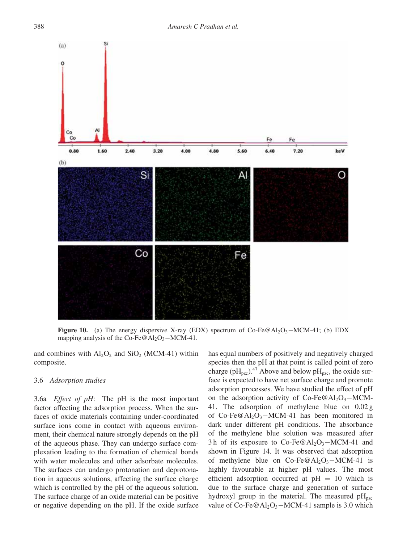

**Figure 10.** (a) The energy dispersive X-ray (EDX) spectrum of Co-Fe@Al<sub>2</sub>O<sub>3</sub>–MCM-41; (b) EDX mapping analysis of the Co-Fe@Al<sub>2</sub>O<sub>3</sub> $-MCM-41$ .

and combines with  $Al_2O_2$  and  $SiO_2$  (MCM-41) within composite.

# 3.6 *Adsorption studies*

3.6a *Effect of pH*: The pH is the most important factor affecting the adsorption process. When the surfaces of oxide materials containing under-coordinated surface ions come in contact with aqueous environment, their chemical nature strongly depends on the pH of the aqueous phase. They can undergo surface complexation leading to the formation of chemical bonds with water molecules and other adsorbate molecules. The surfaces can undergo protonation and deprotonation in aqueous solutions, affecting the surface charge which is controlled by the pH of the aqueous solution. The surface charge of an oxide material can be positive or negative depending on the pH. If the oxide surface

has equal numbers of positively and negatively charged species then the pH at that point is called point of zero charge (pH<sub>pzc</sub>).<sup>47</sup> Above and below pH<sub>pzc</sub>, the oxide surface is expected to have net surface charge and promote adsorption processes. We have studied the effect of pH on the adsorption activity of  $Co-Fe@Al_2O_3-MCM$ -41. The adsorption of methylene blue on 0.02 g of Co-Fe@Al<sub>2</sub>O<sub>3</sub>-MCM-41 has been monitored in dark under different pH conditions. The absorbance of the methylene blue solution was measured after 3h of its exposure to Co-Fe@Al<sub>2</sub>O<sub>3</sub>–MCM-41 and shown in Figure 14. It was observed that adsorption of methylene blue on  $Co-Fe@Al_2O_3-MCM-41$  is highly favourable at higher pH values. The most efficient adsorption occurred at  $pH = 10$  which is due to the surface charge and generation of surface hydroxyl group in the material. The measured  $pH_{\text{pzc}}$ value of Co-Fe@Al<sub>2</sub>O<sub>3</sub>−MCM-41 sample is 3.0 which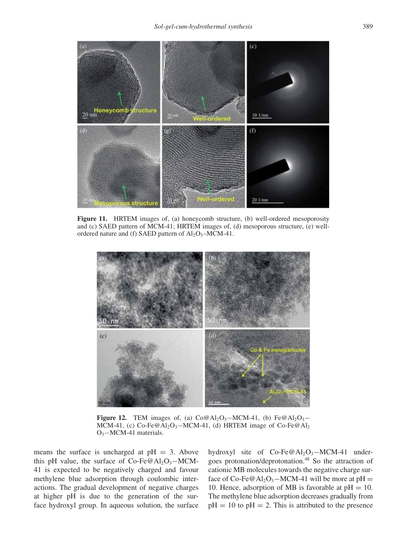

**Figure 11.** HRTEM images of, (a) honeycomb structure, (b) well-ordered mesoporosity and (c) SAED pattern of MCM-41; HRTEM images of, (d) mesoporous structure, (e) wellordered nature and (f) SAED pattern of  $Al_2O_3-MCM-41$ .



**Figure 12.** TEM images of, (a)  $Co@Al_2O_3-MCM-41$ , (b)  $Fe@Al_2O_3-$ MCM-41, (c) Co-Fe@Al<sub>2</sub>O<sub>3</sub>-MCM-41, (d) HRTEM image of Co-Fe@Al<sub>2</sub> O3−MCM-41 materials.

means the surface is uncharged at  $pH = 3$ . Above this pH value, the surface of Co-Fe@Al<sub>2</sub>O<sub>3</sub>–MCM-41 is expected to be negatively charged and favour methylene blue adsorption through coulombic interactions. The gradual development of negative charges at higher pH is due to the generation of the surface hydroxyl group. In aqueous solution, the surface hydroxyl site of  $Co-Fe@Al_2O_3-MCM-41$  undergoes protonation/deprotonation.48 So the attraction of cationic MB molecules towards the negative charge surface of Co-Fe@Al<sub>2</sub>O<sub>3</sub>−MCM-41 will be more at pH = 10. Hence, adsorption of MB is favorable at  $pH = 10$ . The methylene blue adsorption decreases gradually from  $pH = 10$  to  $pH = 2$ . This is attributed to the presence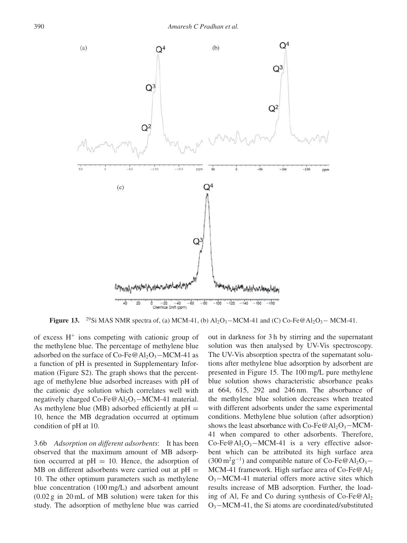

**Figure 13.** <sup>29</sup>Si MAS NMR spectra of, (a) MCM-41, (b)  $Al_2O_3-MCM-41$  and (C) Co-Fe@Al<sub>2</sub>O<sub>3</sub> – MCM-41.

of excess  $H^+$  ions competing with cationic group of the methylene blue. The percentage of methylene blue adsorbed on the surface of Co-Fe@Al<sub>2</sub>O<sub>3</sub> $-MCM-41$  as a function of pH is presented in Supplementary Information (Figure S2). The graph shows that the percentage of methylene blue adsorbed increases with pH of the cationic dye solution which correlates well with negatively charged Co-Fe@Al<sub>2</sub>O<sub>3</sub> $-MCM-41$  material. As methylene blue (MB) adsorbed efficiently at  $pH =$ 10, hence the MB degradation occurred at optimum condition of pH at 10.

3.6b *Adsorption on different adsorbents*: It has been observed that the maximum amount of MB adsorption occurred at  $pH = 10$ . Hence, the adsorption of  $MB$  on different adsorbents were carried out at  $pH =$ 10. The other optimum parameters such as methylene blue concentration (100 mg/L) and adsorbent amount (0.02 g in 20 mL of MB solution) were taken for this study. The adsorption of methylene blue was carried

out in darkness for 3 h by stirring and the supernatant solution was then analysed by UV-Vis spectroscopy. The UV-Vis absorption spectra of the supernatant solutions after methylene blue adsorption by adsorbent are presented in Figure 15. The 100 mg/L pure methylene blue solution shows characteristic absorbance peaks at 664, 615, 292 and 246 nm. The absorbance of the methylene blue solution decreases when treated with different adsorbents under the same experimental conditions. Methylene blue solution (after adsorption) shows the least absorbance with Co-Fe@Al<sub>2</sub>O<sub>3</sub> $-MCM$ -41 when compared to other adsorbents. Therefore, Co-Fe@Al<sub>2</sub>O<sub>3</sub> $-MCM-41$  is a very effective adsorbent which can be attributed its high surface area  $(300 \,\mathrm{m}^2 \mathrm{g}^{-1})$  and compatible nature of Co-Fe@Al<sub>2</sub>O<sub>3</sub>− MCM-41 framework. High surface area of Co-Fe $@$ Al<sub>2</sub>  $O_3$ –MCM-41 material offers more active sites which results increase of MB adsorption. Further, the loading of Al, Fe and Co during synthesis of Co-Fe $@$ Al<sub>2</sub> O3−MCM-41, the Si atoms are coordinated/substituted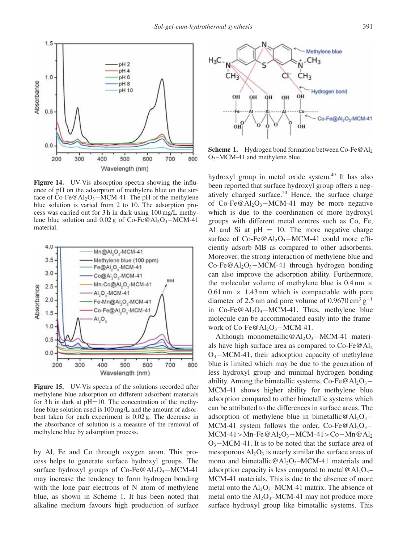

**Figure 14.** UV-Vis absorption spectra showing the influence of pH on the adsorption of methylene blue on the surface of Co-Fe@Al<sub>2</sub>O<sub>3</sub>−MCM-41. The pH of the methylene blue solution is varied from 2 to 10. The adsorption process was carried out for 3 h in dark using 100 mg/L methylene blue solution and  $0.02$  g of Co-Fe@Al<sub>2</sub>O<sub>3</sub>−MCM-41 material.



**Figure 15.** UV-Vis spectra of the solutions recorded after methylene blue adsorption on different adsorbent materials for 3 h in dark at  $pH=10$ . The concentration of the methylene blue solution used is 100 mg/L and the amount of adsorbent taken for each experiment is 0.02 g. The decrease in the absorbance of solution is a measure of the removal of methylene blue by adsorption process.

by Al, Fe and Co through oxygen atom. This process helps to generate surface hydroxyl groups. The surface hydroxyl groups of  $Co-Fe@Al_2O_3-MCM-41$ may increase the tendency to form hydrogen bonding with the lone pair electrons of N atom of methylene blue, as shown in Scheme 1. It has been noted that alkaline medium favours high production of surface



**Scheme 1.** Hydrogen bond formation between Co-Fe $@$ Al<sub>2</sub> O3–MCM-41 and methylene blue.

hydroxyl group in metal oxide system.<sup>49</sup> It has also been reported that surface hydroxyl group offers a negatively charged surface.<sup>50</sup> Hence, the surface charge of Co-Fe@Al<sub>2</sub>O<sub>3</sub>-MCM-41 may be more negative which is due to the coordination of more hydroxyl groups with different metal centres such as Co, Fe, Al and Si at  $pH = 10$ . The more negative charge surface of  $Co-Fe@Al<sub>2</sub>O<sub>3</sub>–MCM-41$  could more efficiently adsorb MB as compared to other adsorbents. Moreover, the strong interaction of methylene blue and Co-Fe@Al<sub>2</sub>O<sub>3</sub> $-MCM-41$  through hydrogen bonding can also improve the adsorption ability. Furthermore, the molecular volume of methylene blue is  $0.4 \text{ nm} \times$  $0.61$  nm  $\times$  1.43 nm which is compactable with pore diameter of 2.5 nm and pore volume of 0.9670 cm<sup>3</sup> g<sup>-1</sup> in Co-Fe@Al<sub>2</sub>O<sub>3</sub>–MCM-41. Thus, methylene blue molecule can be accommodated easily into the framework of  $Co-Fe@Al_2O_3-MCM-41$ .

Although monometallic@Al<sub>2</sub>O<sub>3</sub>-MCM-41 materials have high surface area as compared to  $Co-Fe@Al<sub>2</sub>$  $O_3$ –MCM-41, their adsorption capacity of methylene blue is limited which may be due to the generation of less hydroxyl group and minimal hydrogen bonding ability. Among the bimetallic systems, Co-Fe@Al<sub>2</sub>O<sub>3</sub>− MCM-41 shows higher ability for methylene blue adsorption compared to other bimetallic systems which can be attributed to the differences in surface areas. The adsorption of methylene blue in bimetallic@Al<sub>2</sub>O<sub>3</sub>− MCM-41 system follows the order, Co-Fe@Al<sub>2</sub>O<sub>3</sub>− MCM-41>Mn-Fe@Al<sub>2</sub>O<sub>3</sub>−MCM-41>Co−Mn@Al<sub>2</sub>  $O_3$ −MCM-41. It is to be noted that the surface area of mesoporous  $Al_2O_3$  is nearly similar the surface areas of mono and bimetallic@Al<sub>2</sub>O<sub>3</sub>–MCM-41 materials and adsorption capacity is less compared to metal@Al<sub>2</sub>O<sub>3</sub>– MCM-41 materials. This is due to the absence of more metal onto the  $Al_2O_3-MCM-41$  matrix. The absence of metal onto the  $Al_2O_3-MCM-41$  may not produce more surface hydroxyl group like bimetallic systems. This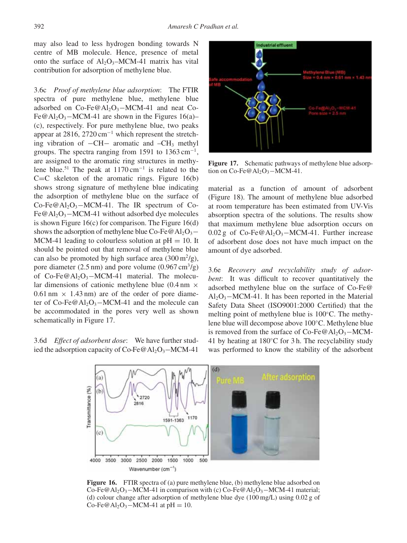may also lead to less hydrogen bonding towards N centre of MB molecule. Hence, presence of metal onto the surface of  $Al_2O_3-MCM-41$  matrix has vital contribution for adsorption of methylene blue.

3.6c *Proof of methylene blue adsorption*: The FTIR spectra of pure methylene blue, methylene blue adsorbed on  $Co-Fe@Al<sub>2</sub>O<sub>3</sub>–MCM-41$  and neat Co-Fe@Al<sub>2</sub>O<sub>3</sub> $-MCM-41$  are shown in the Figures 16(a)– (c), respectively. For pure methylene blue, two peaks appear at 2816, 2720 cm−<sup>1</sup> which represent the stretching vibration of −CH− aromatic and –CH3 methyl groups. The spectra ranging from 1591 to  $1363 \text{ cm}^{-1}$ , are assigned to the aromatic ring structures in methylene blue.51 The peak at 1170 cm−<sup>1</sup> is related to the  $C=C$  skeleton of the aromatic rings. Figure 16(b) shows strong signature of methylene blue indicating the adsorption of methylene blue on the surface of  $Co-Fe@Al_2O_3-MCM-41$ . The IR spectrum of Co-Fe@Al<sub>2</sub>O<sub>3</sub>−MCM-41 without adsorbed dye molecules is shown Figure 16(c) for comparison. The Figure 16(d) shows the adsorption of methylene blue Co-Fe@Al<sub>2</sub>O<sub>3</sub>− MCM-41 leading to colourless solution at  $pH = 10$ . It should be pointed out that removal of methylene blue can also be promoted by high surface area  $(300 \,\mathrm{m}^2/\mathrm{g})$ , pore diameter (2.5 nm) and pore volume (0.967 cm<sup>3</sup>/g) of Co-Fe@Al<sub>2</sub>O<sub>3</sub>−MCM-41 material. The molecular dimensions of cationic methylene blue  $(0.4 \text{ nm} \times$  $0.61$  nm  $\times$  1.43 nm) are of the order of pore diameter of Co-Fe@Al<sub>2</sub>O<sub>3</sub>−MCM-41 and the molecule can be accommodated in the pores very well as shown schematically in Figure 17.

3.6d *Effect of adsorbent dose*: We have further studied the adsorption capacity of Co-Fe@Al<sub>2</sub>O<sub>3</sub>–MCM-41



Figure 17. Schematic pathways of methylene blue adsorption on Co-Fe@Al<sub>2</sub>O<sub>3</sub> $-MCM-41$ .

material as a function of amount of adsorbent (Figure 18). The amount of methylene blue adsorbed at room temperature has been estimated from UV-Vis absorption spectra of the solutions. The results show that maximum methylene blue adsorption occurs on 0.02 g of  $Co-Fe@Al_2O_3-MCM-41$ . Further increase of adsorbent dose does not have much impact on the amount of dye adsorbed.

3.6e *Recovery and recyclability study of adsorbent*: It was difficult to recover quantitatively the adsorbed methylene blue on the surface of Co-Fe@  $Al_2O_3-MCM-41$ . It has been reported in the Material Safety Data Sheet (ISO9001:2000 Certified) that the melting point of methylene blue is 100◦C. The methylene blue will decompose above 100◦C. Methylene blue is removed from the surface of  $Co-Fe@Al_2O_3-MCM$ -41 by heating at 180◦C for 3 h. The recyclability study was performed to know the stability of the adsorbent



**Figure 16.** FTIR spectra of (a) pure methylene blue, (b) methylene blue adsorbed on Co-Fe@Al<sub>2</sub>O<sub>3</sub> – MCM-41 in comparison with (c) Co-Fe@Al<sub>2</sub>O<sub>3</sub> – MCM-41 material; (d) colour change after adsorption of methylene blue dye (100 mg/L) using 0.02 g of Co-Fe@Al<sub>2</sub>O<sub>3</sub> – MCM-41 at pH = 10.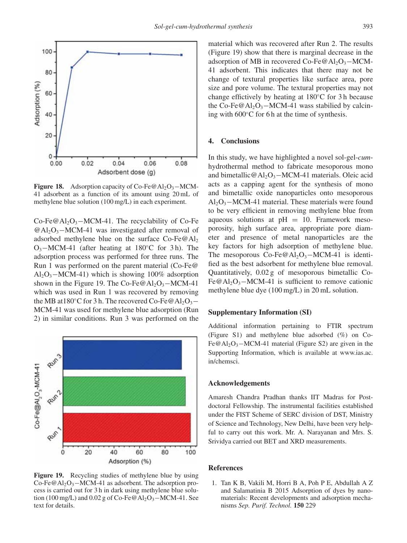

**Figure 18.** Adsorption capacity of Co-Fe@Al<sub>2</sub>O<sub>3</sub>−MCM-41 adsorbent as a function of its amount using 20 mL of methylene blue solution (100 mg/L) in each experiment.

Co-Fe@Al<sub>2</sub>O<sub>3</sub>−MCM-41. The recyclability of Co-Fe  $@A<sub>1</sub>Q<sub>3</sub>–MCM-41$  was investigated after removal of adsorbed methylene blue on the surface  $Co-Fe@Al<sub>2</sub>$ O3−MCM-41 (after heating at 180◦C for 3 h). The adsorption process was performed for three runs. The Run 1 was performed on the parent material (Co-Fe@  $Al_2O_3-MCM-41$ ) which is showing 100% adsorption shown in the Figure 19. The Co-Fe@Al<sub>2</sub>O<sub>3</sub> $-MCM-41$ which was used in Run 1 was recovered by removing the MB at  $180^\circ$ C for 3 h. The recovered Co-Fe@Al<sub>2</sub>O<sub>3</sub>− MCM-41 was used for methylene blue adsorption (Run 2) in similar conditions. Run 3 was performed on the



**Figure 19.** Recycling studies of methylene blue by using  $Co-Fe@Al_2O_3-MCM-41$  as adsorbent. The adsorption process is carried out for 3 h in dark using methylene blue solution (100 mg/L) and 0.02 g of Co-Fe@Al<sub>2</sub>O<sub>3</sub> $-MCM-41$ . See text for details.

material which was recovered after Run 2. The results (Figure 19) show that there is marginal decrease in the adsorption of MB in recovered Co-Fe@Al<sub>2</sub>O<sub>3</sub> $-MCM-$ 41 adsorbent. This indicates that there may not be change of textural properties like surface area, pore size and pore volume. The textural properties may not change effictively by heating at 180◦C for 3 h because the Co-Fe@Al<sub>2</sub>O<sub>3</sub>−MCM-41 wass stabilied by calcining with 600◦C for 6 h at the time of synthesis.

## **4. Conclusions**

In this study, we have highlighted a novel sol-gel-*cum*hydrothermal method to fabricate mesoporous mono and bimetallic@Al<sub>2</sub>O<sub>3</sub> $-MCM-41$  materials. Oleic acid acts as a capping agent for the synthesis of mono and bimetallic oxide nanoparticles onto mesoporous  $Al_2O_3-MCM-41$  material. These materials were found to be very efficient in removing methylene blue from aqueous solutions at  $pH = 10$ . Framework mesoporosity, high surface area, appropriate pore diameter and presence of metal nanoparticles are the key factors for high adsorption of methylene blue. The mesoporous  $Co-Fe@Al_2O_3-MCM-41$  is identified as the best adsorbent for methylene blue removal. Quantitatively, 0.02 g of mesoporous bimetallic Co-Fe@Al<sub>2</sub>O<sub>3</sub> $-MCM-41$  is sufficient to remove cationic methylene blue dye (100 mg/L) in 20 mL solution.

#### **Supplementary Information (SI)**

Additional information pertaining to FTIR spectrum (Figure S1) and methylene blue adsorbed (%) on Co-Fe@Al<sub>2</sub>O<sub>3</sub> $-MCM-41$  material (Figure S2) are given in the Supporting Information, which is available at www.ias.ac. in/chemsci.

#### **Acknowledgements**

Amaresh Chandra Pradhan thanks IIT Madras for Postdoctoral Fellowship. The instrumental facilities established under the FIST Scheme of SERC division of DST, Ministry of Science and Technology, New Delhi, have been very helpful to carry out this work. Mr. A. Narayanan and Mrs. S. Srividya carried out BET and XRD measurements.

# **References**

1. Tan K B, Vakili M, Horri B A, Poh P E, Abdullah A Z and Salamatinia B 2015 Adsorption of dyes by nanomaterials: Recent developments and adsorption mechanisms *Sep. Purif. Technol.* **150** 229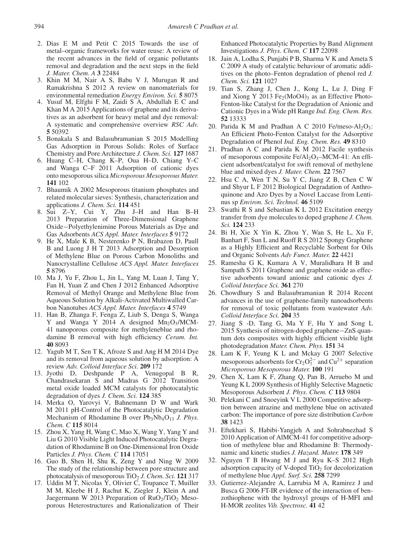- 2. Dias E M and Petit C 2015 Towards the use of metal–organic frameworks for water reuse: A review of the recent advances in the field of organic pollutants removal and degradation and the next steps in the field *J. Mater. Chem. A* **3** 22484
- 3. Khin M M, Nair A S, Babu V J, Murugan R and Ramakrishna S 2012 A review on nanomaterials for environmental remediation *Energy Environ. Sci.* **5** 8075
- 4. Yusuf M, Elfghi F M, Zaidi S A, Abdullah E C and Khan M A 2015 Applications of graphene and its derivatives as an adsorbent for heavy metal and dye removal: A systematic and comprehensive overview *RSC Adv.* **5** 50392
- 5. Bonakala S and Balasubramanian S 2015 Modelling Gas Adsorption in Porous Solids: Roles of Surface Chemistry and Pore Architecture *J. Chem. Sci.* **127** 1687
- 6. Huang C–H, Chang K–P, Oua H–D, Chiang Y–C and Wanga C–F 2011 Adsorption of cationic dyes onto mesoporous silica *Microporous Mesoporous Mater.* **141** 102
- 7. Bhaumik A 2002 Mesoporous titanium phosphates and related molecular sieves: Synthesis, characterization and applications *J. Chem. Sci.* **114** 451
- 8. Sui Z–Y, Cui Y, Zhu J–H and Han B–H 2013 Preparation of Three-Dimensional Graphene Oxide−Polyethylenimine Porous Materials as Dye and Gas Adsorbents *ACS Appl. Mater. Interfaces* **5** 9172
- 9. He X, Male K B, Nesterenko P N, Brabazon D, Paull B and Luong J H T 2013 Adsorption and Desorption of Methylene Blue on Porous Carbon Monoliths and Nanocrystalline Cellulose *ACS Appl. Mater. Interfaces* **5** 8796
- 10. Ma J, Yu F, Zhou L, Jin L, Yang M, Luan J, Tang Y, Fan H, Yuan Z and Chen J 2012 Enhanced Adsorptive Removal of Methyl Orange and Methylene Blue from Aqueous Solution by Alkali-Activated Multiwalled Carbon Nanotubes *ACS Appl. Mater. Interfaces* **4** 5749
- 11. Han B, Zhanga F, Fenga Z, Liub S, Denga S, Wanga Y and Wanga Y 2014 A designed  $Mn_2O_3/MCM$ -41 nanoporous composite for methyleneblue and rhodamine B removal with high efficiency *Ceram. Int.* **40** 8093
- 12. Yagub M T, Sen T K, Afroze S and Ang H M 2014 Dye and its removal from aqueous solution by adsorption: A review *Adv. Colloid Interface Sci.* **209** 172
- 13. Jyothi D, Deshpande P A, Venugopal B R, Chandrasekaran S and Madras G 2012 Transition metal oxide loaded MCM catalysts for photocatalytic degradation of dyes *J. Chem. Sci.* **124** 385
- 14. Merka O, Yarovyi V, Bahnemann D W and Wark M 2011 pH-Control of the Photocatalytic Degradation Mechanism of Rhodamine B over Pb<sub>3</sub>Nb<sub>4</sub>O<sub>13</sub> *J. Phys. Chem. C* **115** 8014
- 15. Zhou X, Yang H, Wang C, Mao X, Wang Y, Yang Y and Liu G 2010 Visible Light Induced Photocatalytic Degradation of Rhodamine B on One-Dimensional Iron Oxide Particles *J. Phys. Chem. C* **114** 17051
- 16. Guo B, Shen H, Shu K, Zeng Y and Ning W 2009 The study of the relationship between pore structure and photocatalysis of mesoporous TiO2 *J. Chem. Sci.* **121** 317
- 17. Uddin M T, Nicolas  $\overline{Y}$ , Olivier C, Toupance T, Muiller M M, Kleebe H J, Rachut K, Ziegler J, Klein A and Jaegermann W 2013 Preparation of  $RuO<sub>2</sub>/TiO<sub>2</sub>$  Mesoporous Heterostructures and Rationalization of Their

Enhanced Photocatalytic Properties by Band Alignment Investigations *J. Phys. Chem. C* **117** 22098

- 18. Jain A, Lodha S, Punjabi P B, Sharma V K and Ameta S C 2009 A study of catalytic behaviour of aromatic additives on the photo–Fenton degradation of phenol red *J. Chem. Sci.* **121** 1027
- 19. Tian S, Zhang J, Chen J., Kong L, Lu J, Ding F and Xiong Y 2013 Fe<sub>2</sub>(MoO4)<sub>3</sub> as an Effective Photo-Fenton-like Catalyst for the Degradation of Anionic and Cationic Dyes in a Wide pH Range *Ind. Eng. Chem. Res.* **52** 13333
- 20. Parida K M and Pradhan A C 2010 Fe/meso-Al2O3: An Efficient Photo-Fenton Catalyst for the Adsorptive Degradation of Phenol *Ind. Eng. Chem. Res.* **49** 8310
- 21. Pradhan A C and Parida K M 2012 Facile synthesis of mesoporous composite  $Fe/Al_2O_3-MCM-41$ : An efficient adsorbent/catalyst for swift removal of methylene blue and mixed dyes *J. Mater. Chem.* **22** 7567
- 22. Hsu C A, Wen T N, Su Y C, Jiang Z B, Chen C W and Shyur L F 2012 Biological Degradation of Anthroquinone and Azo Dyes by a Novel Laccase from Lentinus sp *Environ. Sci. Technol.* **46** 5109
- 23. Swathi R S and Sebastian K L 2012 Excitation energy transfer from dye molecules to doped graphene *J. Chem. Sci.* **124** 233
- 24. Bi H, Xie X Yin K, Zhou Y, Wan S, He L, Xu F, Banhart F, Sun L and Ruoff R S 2012 Spongy Graphene as a Highly Efficient and Recyclable Sorbent for Oils and Organic Solvents *Adv Funct. Mater.* **22** 4421
- 25. Ramesha G K, Kumara A V, Muralidhara H B and Sampath S 2011 Graphene and graphene oxide as effective adsorbents toward anionic and cationic dyes *J. Colloid Interface Sci.* **361** 270
- 26. Chowdhury S and Balasubramanian R 2014 Recent advances in the use of graphene-family nanoadsorbents for removal of toxic pollutants from wastewater *Adv. Colloid Interface Sci.* **204** 35
- 27. Jiang S -D, Tang G, Ma Y F, Hu Y and Song L 2015 Synthesis of nitrogen-doped graphene−ZnS quantum dots composites with highly efficient visible light photodegradation *Mater. Chem. Phys.* **151** 34
- 28. Lam K F, Yeung K L and Mckay G 2007 Selective mesoporous adsorbents for  $Cr_2O_7^{2-}$  and  $Cu^{2+}$  separation *Microporous Mesoporous Mater.* **100** 191
- 29. Chen X, Lam K F, Zhang Q, Pan B, Arruebo M and Yeung K L 2009 Synthesis of Highly Selective Magnetic Mesoporous Adsorbent *J. Phys. Chem. C* **113** 9804
- 30. Pelekani C and Snoeyink V L 2000 Competitive adsorption between atrazine and methylene blue on activated carbon: The importance of pore size distribution *Carbon* **38** 1423
- 31. Eftekhari S, Habibi-Yangjeh A and Sohrabnezhad S 2010 Application of AlMCM-41 for competitive adsorption of methylene blue and Rhodamine B: Thermodynamic and kinetic studies *J. Hazard. Mater.* **178** 349
- 32. Nguyen T B Hwang M J and Ryu K–S 2012 High adsorption capacity of V-doped  $TiO<sub>2</sub>$  for decolorization of methylene blue *Appl. Surf. Sci.* **258** 7299
- 33. Gutierrez-Alejandre A, Larrubia M A, Ramirez J and Busca G 2006 FT-IR evidence of the interaction of benzothiophene with the hydroxyl groups of H-MFI and H-MOR zeolites *Vib. Spectrosc.* **41** 42